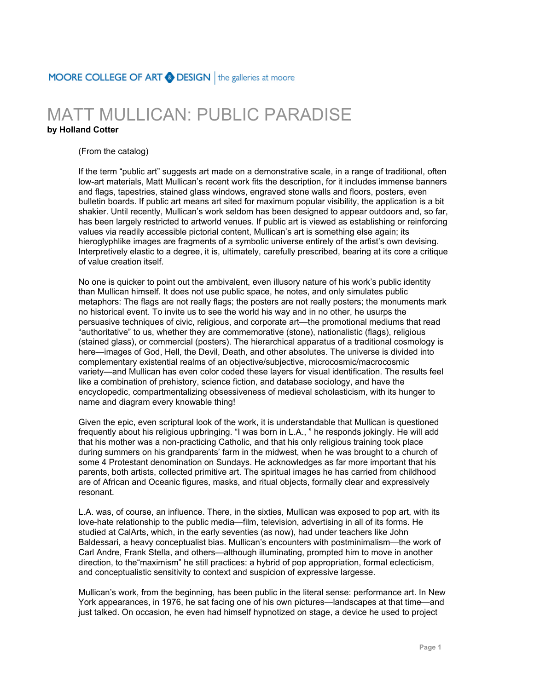## MOORE COLLEGE OF ART @ DESIGN | the galleries at moore

## MATT MULLICAN: PUBLIC PARADISE

## **by Holland Cotter**

## (From the catalog)

If the term "public art" suggests art made on a demonstrative scale, in a range of traditional, often low-art materials, Matt Mullican's recent work fits the description, for it includes immense banners and flags, tapestries, stained glass windows, engraved stone walls and floors, posters, even bulletin boards. If public art means art sited for maximum popular visibility, the application is a bit shakier. Until recently, Mullican's work seldom has been designed to appear outdoors and, so far, has been largely restricted to artworld venues. If public art is viewed as establishing or reinforcing values via readily accessible pictorial content, Mullican's art is something else again; its hieroglyphlike images are fragments of a symbolic universe entirely of the artist's own devising. Interpretively elastic to a degree, it is, ultimately, carefully prescribed, bearing at its core a critique of value creation itself.

No one is quicker to point out the ambivalent, even illusory nature of his work's public identity than Mullican himself. It does not use public space, he notes, and only simulates public metaphors: The flags are not really flags; the posters are not really posters; the monuments mark no historical event. To invite us to see the world his way and in no other, he usurps the persuasive techniques of civic, religious, and corporate art—the promotional mediums that read "authoritative" to us, whether they are commemorative (stone), nationalistic (flags), religious (stained glass), or commercial (posters). The hierarchical apparatus of a traditional cosmology is here—images of God, Hell, the Devil, Death, and other absolutes. The universe is divided into complementary existential realms of an objective/subjective, microcosmic/macrocosmic variety—and Mullican has even color coded these layers for visual identification. The results feel like a combination of prehistory, science fiction, and database sociology, and have the encyclopedic, compartmentalizing obsessiveness of medieval scholasticism, with its hunger to name and diagram every knowable thing!

Given the epic, even scriptural look of the work, it is understandable that Mullican is questioned frequently about his religious upbringing. "I was born in L.A., " he responds jokingly. He will add that his mother was a non-practicing Catholic, and that his only religious training took place during summers on his grandparents' farm in the midwest, when he was brought to a church of some 4 Protestant denomination on Sundays. He acknowledges as far more important that his parents, both artists, collected primitive art. The spiritual images he has carried from childhood are of African and Oceanic figures, masks, and ritual objects, formally clear and expressively resonant.

L.A. was, of course, an influence. There, in the sixties, Mullican was exposed to pop art, with its love-hate relationship to the public media—film, television, advertising in all of its forms. He studied at CalArts, which, in the early seventies (as now), had under teachers like John Baldessari, a heavy conceptualist bias. Mullican's encounters with postminimalism—the work of Carl Andre, Frank Stella, and others—although illuminating, prompted him to move in another direction, to the"maximism" he still practices: a hybrid of pop appropriation, formal eclecticism, and conceptualistic sensitivity to context and suspicion of expressive largesse.

Mullican's work, from the beginning, has been public in the literal sense: performance art. In New York appearances, in 1976, he sat facing one of his own pictures—landscapes at that time—and just talked. On occasion, he even had himself hypnotized on stage, a device he used to project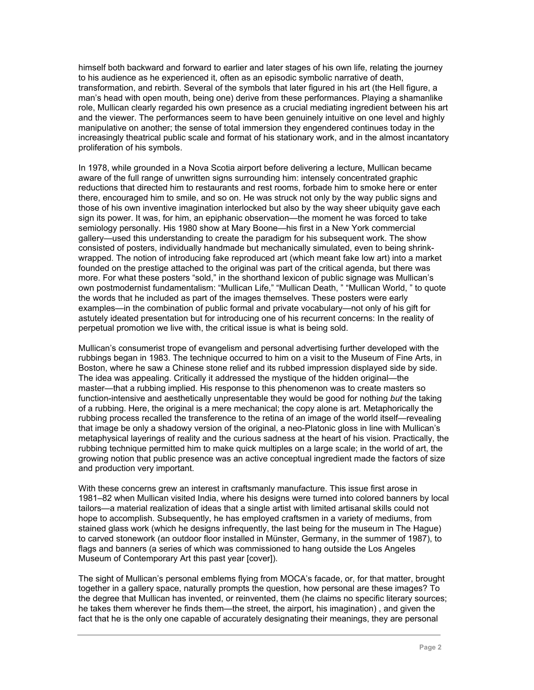himself both backward and forward to earlier and later stages of his own life, relating the journey to his audience as he experienced it, often as an episodic symbolic narrative of death, transformation, and rebirth. Several of the symbols that later figured in his art (the Hell figure, a man's head with open mouth, being one) derive from these performances. Playing a shamanlike role, Mullican clearly regarded his own presence as a crucial mediating ingredient between his art and the viewer. The performances seem to have been genuinely intuitive on one level and highly manipulative on another; the sense of total immersion they engendered continues today in the increasingly theatrical public scale and format of his stationary work, and in the almost incantatory proliferation of his symbols.

In 1978, while grounded in a Nova Scotia airport before delivering a lecture, Mullican became aware of the full range of unwritten signs surrounding him: intensely concentrated graphic reductions that directed him to restaurants and rest rooms, forbade him to smoke here or enter there, encouraged him to smile, and so on. He was struck not only by the way public signs and those of his own inventive imagination interlocked but also by the way sheer ubiquity gave each sign its power. It was, for him, an epiphanic observation—the moment he was forced to take semiology personally. His 1980 show at Mary Boone—his first in a New York commercial gallery—used this understanding to create the paradigm for his subsequent work. The show consisted of posters, individually handmade but mechanically simulated, even to being shrinkwrapped. The notion of introducing fake reproduced art (which meant fake low art) into a market founded on the prestige attached to the original was part of the critical agenda, but there was more. For what these posters "sold," in the shorthand lexicon of public signage was Mullican's own postmodernist fundamentalism: "Mullican Life," "Mullican Death, " "Mullican World, " to quote the words that he included as part of the images themselves. These posters were early examples—in the combination of public formal and private vocabulary—not only of his gift for astutely ideated presentation but for introducing one of his recurrent concerns: In the reality of perpetual promotion we live with, the critical issue is what is being sold.

Mullican's consumerist trope of evangelism and personal advertising further developed with the rubbings began in 1983. The technique occurred to him on a visit to the Museum of Fine Arts, in Boston, where he saw a Chinese stone relief and its rubbed impression displayed side by side. The idea was appealing. Critically it addressed the mystique of the hidden original—the master—that a rubbing implied. His response to this phenomenon was to create masters so function-intensive and aesthetically unpresentable they would be good for nothing *but* the taking of a rubbing. Here, the original is a mere mechanical; the copy alone is art. Metaphorically the rubbing process recalled the transference to the retina of an image of the world itself—revealing that image be only a shadowy version of the original, a neo-Platonic gloss in line with Mullican's metaphysical layerings of reality and the curious sadness at the heart of his vision. Practically, the rubbing technique permitted him to make quick multiples on a large scale; in the world of art, the growing notion that public presence was an active conceptual ingredient made the factors of size and production very important.

With these concerns grew an interest in craftsmanly manufacture. This issue first arose in 1981–82 when Mullican visited India, where his designs were turned into colored banners by local tailors—a material realization of ideas that a single artist with limited artisanal skills could not hope to accomplish. Subsequently, he has employed craftsmen in a variety of mediums, from stained glass work (which he designs infrequently, the last being for the museum in The Hague) to carved stonework (an outdoor floor installed in Münster, Germany, in the summer of 1987), to flags and banners (a series of which was commissioned to hang outside the Los Angeles Museum of Contemporary Art this past year [cover]).

The sight of Mullican's personal emblems flying from MOCA's facade, or, for that matter, brought together in a gallery space, naturally prompts the question, how personal are these images? To the degree that Mullican has invented, or reinvented, them (he claims no specific literary sources; he takes them wherever he finds them—the street, the airport, his imagination) , and given the fact that he is the only one capable of accurately designating their meanings, they are personal